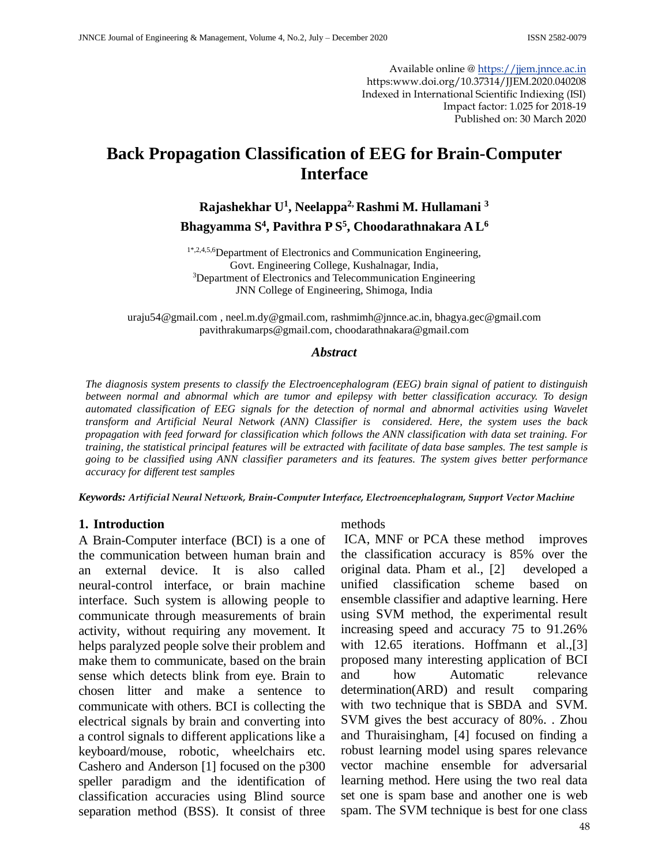Available online [@ https://jjem.jnnce.ac.in](https://jjem.jnnce.ac.in/) https:www.doi.org/10.37314/JJEM.2020.040208 Indexed in International Scientific Indiexing (ISI) Impact factor: 1.025 for 2018-19 Published on: 30 March 2020

# **Back Propagation Classification of EEG for Brain-Computer Interface**

**Rajashekhar U<sup>1</sup> , Neelappa2, Rashmi M. Hullamani <sup>3</sup> Bhagyamma S<sup>4</sup> , Pavithra P S<sup>5</sup> , Choodarathnakara A L<sup>6</sup>**

1\*,2,4,5,6Department of Electronics and Communication Engineering, Govt. Engineering College, Kushalnagar, India, <sup>3</sup>Department of Electronics and Telecommunication Engineering JNN College of Engineering, Shimoga, India

[uraju54@gmail.com](mailto:uraju54@gmail.com) [, neel.m.dy@gmail.com,](mailto:neel.m.dy@gmail.com) [rashmimh@jnnce.ac.in,](mailto:rashmimh@jnnce.ac.in) [bhagya.gec@gmail.com](mailto:bhagya.gec@gmail.com) [pavithrakumarps@gmail.com,](mailto:pavithrakumarps@gmail.com) [choodarathnakara@gmail.com](mailto:choodarathnakara@gmail.com)

### *Abstract*

*The diagnosis system presents to classify the Electroencephalogram (EEG) brain signal of patient to distinguish between normal and abnormal which are tumor and epilepsy with better classification accuracy. To design automated classification of EEG signals for the detection of normal and abnormal activities using Wavelet transform and Artificial Neural Network (ANN) Classifier is considered. Here, the system uses the back propagation with feed forward for classification which follows the ANN classification with data set training. For training, the statistical principal features will be extracted with facilitate of data base samples. The test sample is going to be classified using ANN classifier parameters and its features. The system gives better performance accuracy for different test samples*

*Keywords: Artificial Neural Network, Brain-Computer Interface, Electroencephalogram, Support Vector Machine*

#### **1. Introduction**

A Brain-Computer interface (BCI) is a one of the communication between human brain and an external device. It is also called neural-control interface, or brain machine interface. Such system is allowing people to communicate through measurements of brain activity, without requiring any movement. It helps paralyzed people solve their problem and make them to communicate, based on the brain sense which detects blink from eye. Brain to chosen litter and make a sentence to communicate with others. BCI is collecting the electrical signals by brain and converting into a control signals to different applications like a keyboard/mouse, robotic, wheelchairs etc. Cashero and Anderson [1] focused on the p300 speller paradigm and the identification of classification accuracies using Blind source separation method (BSS). It consist of three

#### methods

ICA, MNF or PCA these method improves the classification accuracy is 85% over the original data. Pham et al., [2] developed a unified classification scheme based on ensemble classifier and adaptive learning. Here using SVM method, the experimental result increasing speed and accuracy 75 to 91.26% with 12.65 iterations. Hoffmann et al., [3] proposed many interesting application of BCI and how Automatic relevance determination(ARD) and result comparing with two technique that is SBDA and SVM. SVM gives the best accuracy of 80%. . Zhou and Thuraisingham, [4] focused on finding a robust learning model using spares relevance vector machine ensemble for adversarial learning method. Here using the two real data set one is spam base and another one is web spam. The SVM technique is best for one class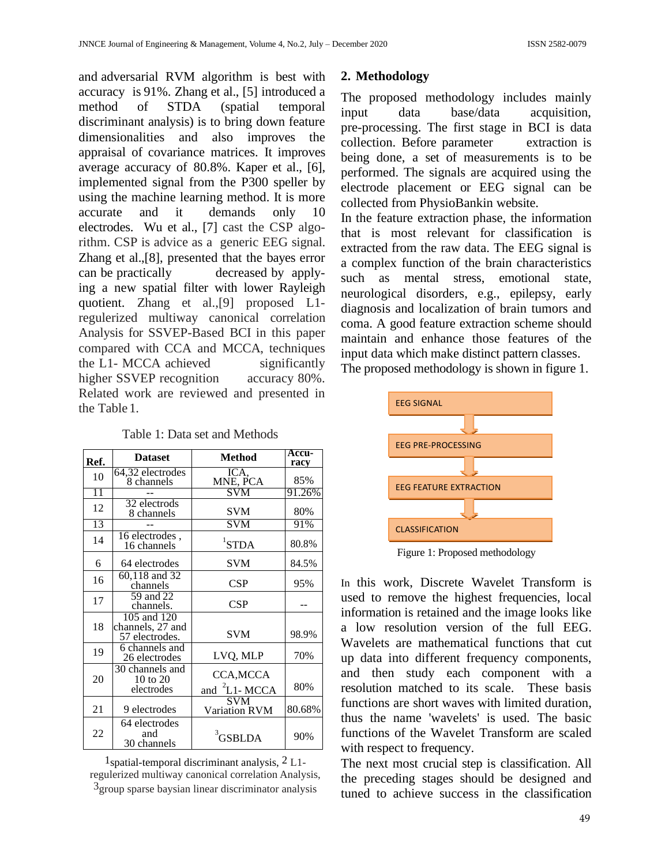and adversarial RVM algorithm is best with accuracy is 91%. Zhang et al., [5] introduced a method of STDA (spatial temporal discriminant analysis) is to bring down feature dimensionalities and also improves the appraisal of covariance matrices. It improves average accuracy of 80.8%. Kaper et al., [6], implemented signal from the P300 speller by using the machine learning method. It is more accurate and it demands only 10 electrodes. Wu et al., [7] cast the CSP algorithm. CSP is advice as a generic EEG signal. Zhang et al.,[8], presented that the bayes error can be practically decreased by applying a new spatial filter with lower Rayleigh quotient. Zhang et al.,[9] proposed L1 regulerized multiway canonical correlation Analysis for SSVEP-Based BCI in this paper compared with CCA and MCCA, techniques the L1- MCCA achieved significantly higher SSVEP recognition accuracy 80%. Related work are reviewed and presented in the Table 1.

Table 1: Data set and Methods

| Ref.            | <b>Dataset</b>                                    | <b>Method</b>                     | Accu-<br>racy |  |
|-----------------|---------------------------------------------------|-----------------------------------|---------------|--|
| 10              | 64,32 electrodes<br>8 channels                    | ICA,<br>MNE, PCA                  | 85%           |  |
| $\overline{11}$ |                                                   | <b>SVM</b>                        | 91.26%        |  |
| 12              | 32 electrods<br>8 channels                        | <b>SVM</b>                        | 80%           |  |
| 13              |                                                   | <b>SVM</b>                        | 91%           |  |
| 14              | 16 electrodes,<br>16 channels                     | ${}^{1}$ STDA                     | 80.8%         |  |
| 6               | 64 electrodes                                     | <b>SVM</b>                        | 84.5%         |  |
| 16              | 60,118 and 32<br>channels                         | CSP                               | 95%           |  |
| 17              | 59 and 22<br>channels.                            | CSP                               |               |  |
| 18              | 105 and 120<br>channels, 27 and<br>57 electrodes. | <b>SVM</b>                        | 98.9%         |  |
| 19              | 6 channels and<br>26 electrodes                   | LVQ, MLP                          | 70%           |  |
| 20              | 30 channels and<br>10 to 20<br>electrodes         | CCA, MCCA<br>and ${}^{2}$ L1-MCCA | 80%           |  |
| 21              | 9 electrodes                                      | <b>SVM</b><br>Variation RVM       | 80.68%        |  |
| 22              | 64 electrodes<br>and<br>30 channels               | $3$ GSBLDA                        | 90%           |  |

<sup>1</sup>spatial-temporal discriminant analysis,  $2$  L<sub>1</sub>regulerized multiway canonical correlation Analysis,  $3$ group sparse baysian linear discriminator analysis

# **2. Methodology**

The proposed methodology includes mainly input data base/data acquisition, pre-processing. The first stage in BCI is data collection. Before parameter extraction is being done, a set of measurements is to be performed. The signals are acquired using the electrode placement or EEG signal can be collected from PhysioBankin websit[e.](http://www.physione.orgt/)

In the feature extraction phase, the information that is most relevant for classification is extracted from the raw data. The EEG signal is a complex function of the brain characteristics such as mental stress, emotional state, neurological disorders, e.g., epilepsy, early diagnosis and localization of brain tumors and coma. A good feature extraction scheme should maintain and enhance those features of the input data which make distinct pattern classes.





Figure 1: Proposed methodology

In this work, Discrete Wavelet Transform is used to remove the highest frequencies, local information is retained and the image looks like a low resolution version of the full EEG. Wavelets are mathematical functions that cut up data into different frequency components, and then study each component with a resolution matched to its scale. These basis functions are short waves with limited duration, thus the name 'wavelets' is used. The basic functions of the Wavelet Transform are scaled with respect to frequency.

The next most crucial step is classification. All the preceding stages should be designed and tuned to achieve success in the classification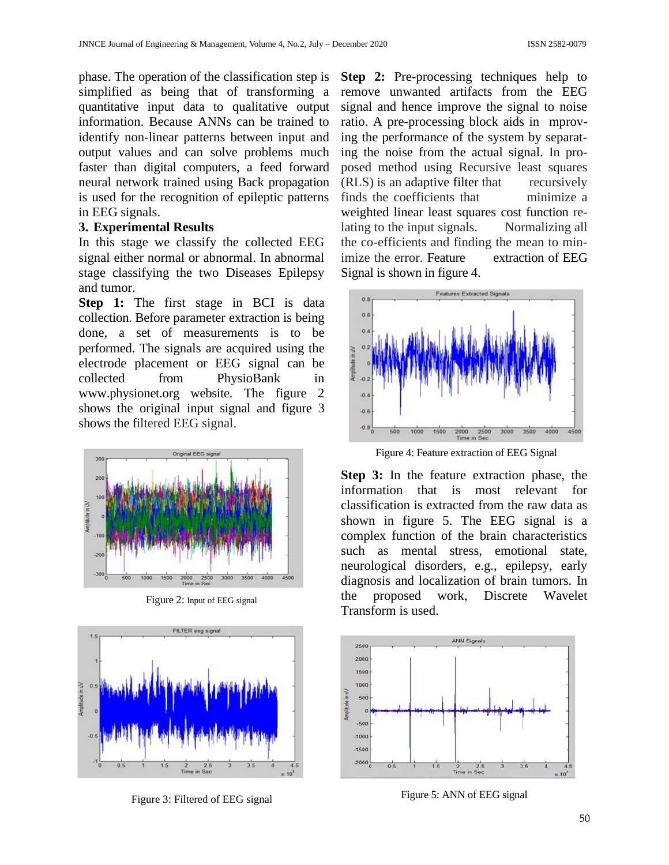phase. The operation of the classification step is simplified as being that of transforming a quantitative input data to qualitative output information. Because ANNs can be trained to identify non-linear patterns between input and output values and can solve problems much faster than digital computers, a feed forward neural network trained using Back propagation is used for the recognition of epileptic patterns in EEG signals.

### **3. Experimental Results**

In this stage we classify the collected EEG signal either normal or abnormal. In abnormal stage classifying the two Diseases Epilepsy and tumor.

**Step 1:** The first stage in BCI is data collection. Before parameter extraction is being done, a set of measurements is to be performed. The signals are acquired using the electrode placement or EEG signal can be collected from PhysioBank in [www.physionet.org](http://www.physionet.org/) website. The figure 2 shows the original input signal and figure 3 shows the filtered EEG signal.



Figure 2: Input of EEG signal



Figure 3: Filtered of EEG signal

**Step 2:** Pre-processing techniques help to remove unwanted artifacts from the EEG signal and hence improve the signal to noise ratio. A pre-processing block aids in mproving the performance of the system by separating the noise from the actual signal. In proposed method using Recursive least squares (RLS) is an adaptive filter that recursively finds the coefficients that minimize a weighted linear least squares cost function relating to the input signals. Normalizing all the co-efficients and finding the mean to minimize the error. Feature extraction of EEG Signal is shown in figure 4.



Figure 4: Feature extraction of EEG Signal

**Step 3:** In the feature extraction phase, the information that is most relevant for classification is extracted from the raw data as shown in figure 5. The EEG signal is a complex function of the brain characteristics such as mental stress, emotional state, neurological disorders, e.g., epilepsy, early diagnosis and localization of brain tumors. In the proposed work, Discrete Wavelet Transform is used.



Figure 5: ANN of EEG signal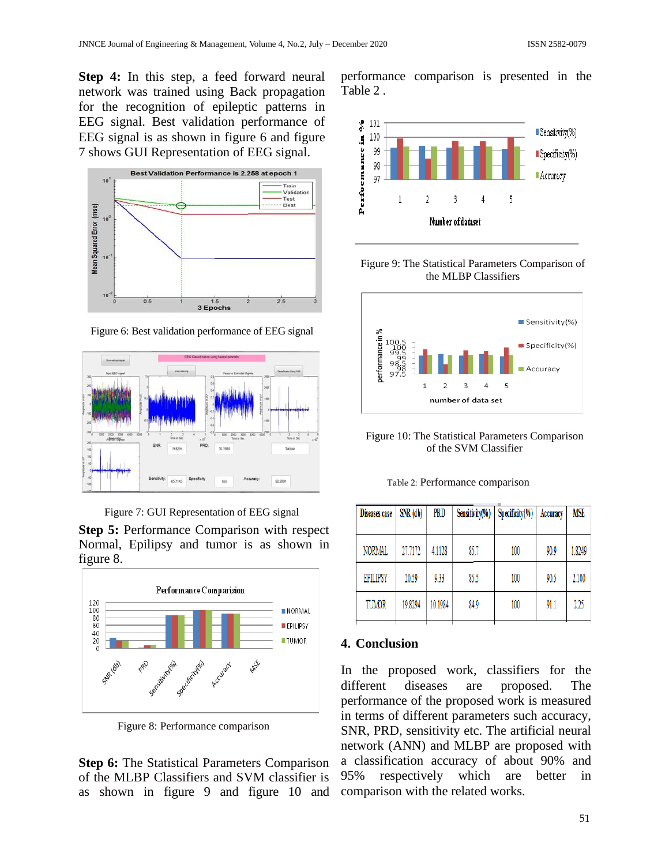**Step 4:** In this step, a feed forward neural network was trained using Back propagation for the recognition of epileptic patterns in EEG signal. Best validation performance of EEG signal is as shown in figure 6 and figure 7 shows GUI Representation of EEG signal.



Figure 6: Best validation performance of EEG signal





**Step 5:** Performance Comparison with respect Normal, Epilipsy and tumor is as shown in figure 8.



Figure 8: Performance comparison

**Step 6:** The Statistical Parameters Comparison of the MLBP Classifiers and SVM classifier is as shown in figure 9 and figure 10 and

performance comparison is presented in the Table 2 .







Figure 10: The Statistical Parameters Comparison of the SVM Classifier

Table 2: Performance comparison

| Diseases case   | SNR (db) | PRD     | Sensitivity(%) | $Specificity(\%)$ | Accuracy | MSE    |
|-----------------|----------|---------|----------------|-------------------|----------|--------|
| NORMAL          | 27.7172  | 4.1128  | 85.7           | 100               | 90.9     | 1.8249 |
| <b>EPILIPSY</b> | 20.59    | 9.33    | 85.5           | 100               | 90.5     | 2.100  |
| TUMOR           | 19.8294  | 10.1984 | 84.9           | 100               | 91.1     | 2.25   |

### **4. Conclusion**

In the proposed work, classifiers for the different diseases are proposed. The performance of the proposed work is measured in terms of different parameters such accuracy, SNR, PRD, sensitivity etc. The artificial neural network (ANN) and MLBP are proposed with a classification accuracy of about 90% and 95% respectively which are better in comparison with the related works.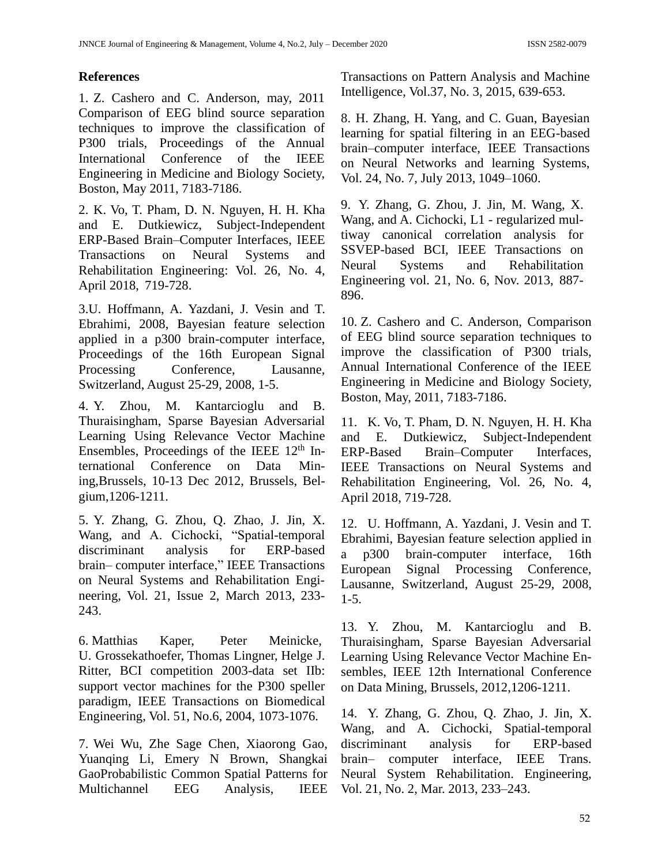## **References**

1. Z. Cashero and C. Anderson, may, 2011 Comparison of EEG blind source separation techniques to improve the classification of P300 trials, Proceedings of the Annual International Conference of the IEEE Engineering in Medicine and Biology Society, Boston, May 2011, 7183-7186.

2. K. Vo, T. Pham, D. N. Nguyen, H. H. Kha and E. Dutkiewicz, Subject-Independent ERP-Based Brain–Computer Interfaces, IEEE Transactions on Neural Systems and Rehabilitation Engineering: Vol. 26, No. 4, April 2018, 719-728.

3.U. Hoffmann, A. Yazdani, J. Vesin and T. Ebrahimi, 2008, Bayesian feature selection applied in a p300 brain-computer interface, Proceedings of the 16th European Signal Processing Conference, Lausanne, Switzerland, August 25-29, 2008, 1-5.

4. Y. Zhou, M. Kantarcioglu and B. Thuraisingham, Sparse Bayesian Adversarial Learning Using Relevance Vector Machine Ensembles, Proceedings of the IEEE  $12<sup>th</sup>$  International Conference on Data Mining,Brussels, 10-13 Dec 2012, Brussels, Belgium,1206-1211.

5. Y. Zhang, G. Zhou, Q. Zhao, J. Jin, X. Wang, and A. Cichocki, "Spatial-temporal discriminant analysis for ERP-based brain– computer interface," IEEE Transactions on Neural Systems and Rehabilitation Engineering, Vol. 21, Issue 2, March 2013, 233- 243.

6. [Matthias Kaper,](https://dblp.org/pid/04/745.html) [Peter Meinicke,](https://dblp.org/pid/92/4908.html) U. Grossekathoefer, [Thomas Lingner,](https://dblp.org/pid/92/690.html) [Helge J.](https://dblp.org/pid/r/HRitter.html)  [Ritter,](https://dblp.org/pid/r/HRitter.html) BCI competition 2003-data set IIb: support vector machines for the P300 speller paradigm, IEEE Transactions on Biomedical Engineering, Vol. 51, No.6, 2004, 1073-1076.

7. Wei [Wu,](https://www.researchgate.net/scientific-contributions/Wei-Wu-68604644) Zhe Sage [Chen,](https://www.researchgate.net/profile/Zhe-Chen-99) [Xiaorong](https://www.researchgate.net/profile/Xiaorong-Gao) Gao, [Yuanqing](https://www.researchgate.net/scientific-contributions/Yuanqing-Li-51357046) Li, Emery N [Brown,](https://www.researchgate.net/scientific-contributions/Emery-N-Brown-39810050) [Shangkai](https://www.researchgate.net/scientific-contributions/Shangkai-Gao-67661044) [GaoP](https://www.researchgate.net/scientific-contributions/Shangkai-Gao-67661044)robabilistic Common Spatial Patterns for Multichannel EEG Analysis, [IEEE](https://www.researchgate.net/journal/IEEE-Transactions-on-Pattern-Analysis-and-Machine-Intelligence-0162-8828)  [Transactions](https://www.researchgate.net/journal/IEEE-Transactions-on-Pattern-Analysis-and-Machine-Intelligence-0162-8828) on Pattern Analysis and Machine [Intelligence,](https://www.researchgate.net/journal/IEEE-Transactions-on-Pattern-Analysis-and-Machine-Intelligence-0162-8828) Vol.37, No. 3, 2015, 639-653.

8. H. Zhang, H. Yang, and C. Guan, Bayesian learning for spatial filtering in an EEG-based brain–computer interface, IEEE Transactions on Neural Networks and learning Systems, Vol. 24, No. 7, July 2013, 1049–1060.

9. Y. Zhang, G. Zhou, J. Jin, M. Wang, X. Wang, and A. Cichocki, L1 - regularized multiway canonical correlation analysis for SSVEP-based BCI, [IEEE Transactions on](https://ieeexplore.ieee.org/xpl/RecentIssue.jsp?punumber=7333)  [Neural Systems and Rehabilitation](https://ieeexplore.ieee.org/xpl/RecentIssue.jsp?punumber=7333)  [Engineering](https://ieeexplore.ieee.org/xpl/RecentIssue.jsp?punumber=7333) vol. 21, No. 6, Nov. 2013, 887- 896.

10. Z. Cashero and C. Anderson, Comparison of EEG blind source separation techniques to improve the classification of P300 trials, Annual International Conference of the IEEE Engineering in Medicine and Biology Society, Boston, May, 2011, 7183-7186.

11. K. Vo, T. Pham, D. N. Nguyen, H. H. Kha and E. Dutkiewicz, Subject-Independent ERP-Based Brain–Computer Interfaces, IEEE Transactions on Neural Systems and Rehabilitation Engineering, Vol. 26, No. 4, April 2018, 719-728.

12. U. Hoffmann, A. Yazdani, J. Vesin and T. Ebrahimi, Bayesian feature selection applied in a p300 brain-computer interface, 16th European Signal Processing Conference, Lausanne, Switzerland, August 25-29, 2008, 1-5.

13. Y. Zhou, M. Kantarcioglu and B. Thuraisingham, Sparse Bayesian Adversarial Learning Using Relevance Vector Machine Ensembles, IEEE 12th International Conference on Data Mining, Brussels, 2012,1206-1211.

14. Y. Zhang, G. Zhou, Q. Zhao, J. Jin, X. Wang, and A. Cichocki, Spatial-temporal discriminant analysis for ERP-based brain– computer interface, IEEE Trans. Neural System Rehabilitation. Engineering, Vol. 21, No. 2, Mar. 2013, 233–243.